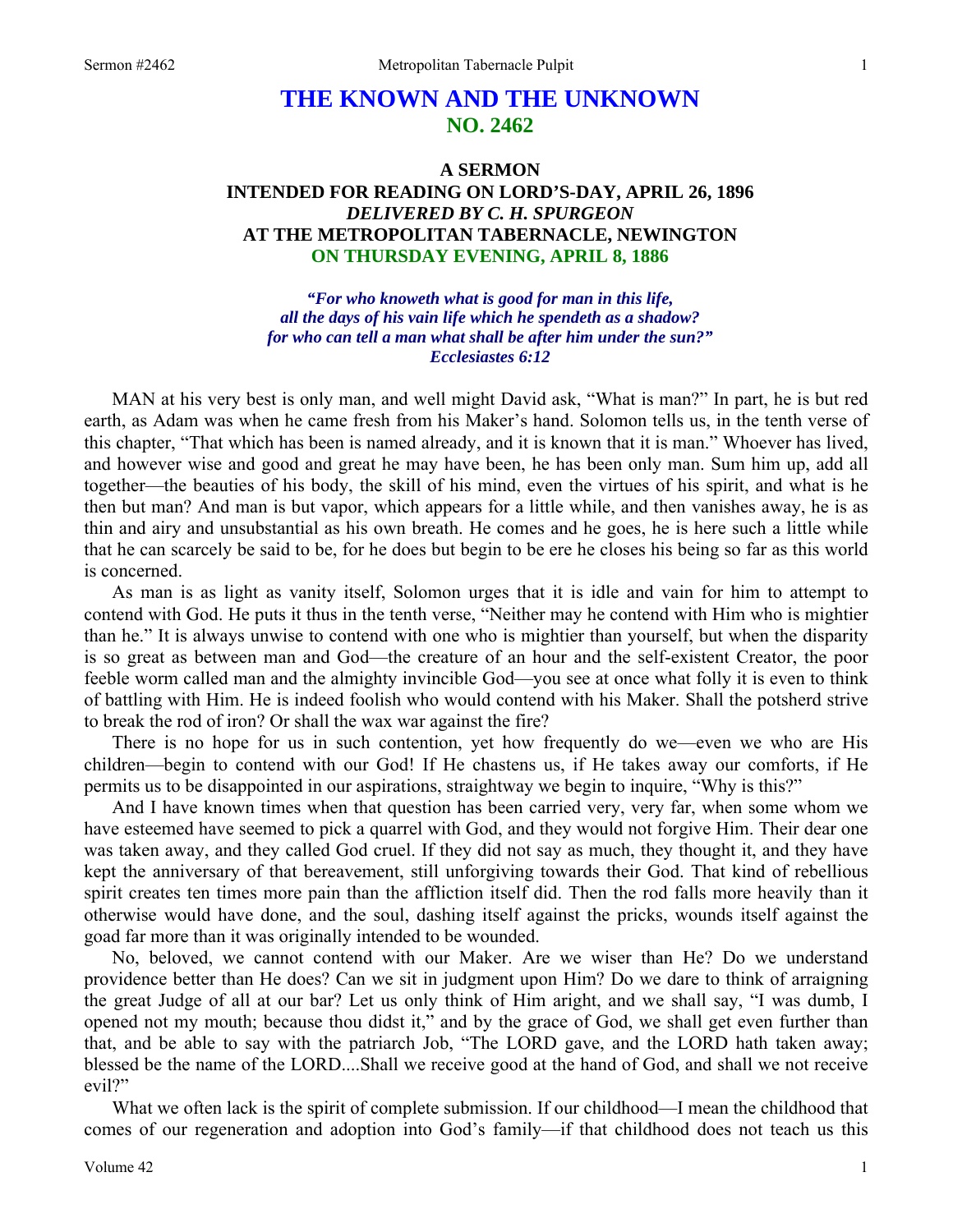# **THE KNOWN AND THE UNKNOWN NO. 2462**

# **A SERMON INTENDED FOR READING ON LORD'S-DAY, APRIL 26, 1896**  *DELIVERED BY C. H. SPURGEON*  **AT THE METROPOLITAN TABERNACLE, NEWINGTON ON THURSDAY EVENING, APRIL 8, 1886**

*"For who knoweth what is good for man in this life, all the days of his vain life which he spendeth as a shadow? for who can tell a man what shall be after him under the sun?" Ecclesiastes 6:12* 

MAN at his very best is only man, and well might David ask, "What is man?" In part, he is but red earth, as Adam was when he came fresh from his Maker's hand. Solomon tells us, in the tenth verse of this chapter, "That which has been is named already, and it is known that it is man." Whoever has lived, and however wise and good and great he may have been, he has been only man. Sum him up, add all together—the beauties of his body, the skill of his mind, even the virtues of his spirit, and what is he then but man? And man is but vapor, which appears for a little while, and then vanishes away, he is as thin and airy and unsubstantial as his own breath. He comes and he goes, he is here such a little while that he can scarcely be said to be, for he does but begin to be ere he closes his being so far as this world is concerned.

As man is as light as vanity itself, Solomon urges that it is idle and vain for him to attempt to contend with God. He puts it thus in the tenth verse, "Neither may he contend with Him who is mightier than he." It is always unwise to contend with one who is mightier than yourself, but when the disparity is so great as between man and God—the creature of an hour and the self-existent Creator, the poor feeble worm called man and the almighty invincible God—you see at once what folly it is even to think of battling with Him. He is indeed foolish who would contend with his Maker. Shall the potsherd strive to break the rod of iron? Or shall the wax war against the fire?

There is no hope for us in such contention, yet how frequently do we—even we who are His children—begin to contend with our God! If He chastens us, if He takes away our comforts, if He permits us to be disappointed in our aspirations, straightway we begin to inquire, "Why is this?"

And I have known times when that question has been carried very, very far, when some whom we have esteemed have seemed to pick a quarrel with God, and they would not forgive Him. Their dear one was taken away, and they called God cruel. If they did not say as much, they thought it, and they have kept the anniversary of that bereavement, still unforgiving towards their God. That kind of rebellious spirit creates ten times more pain than the affliction itself did. Then the rod falls more heavily than it otherwise would have done, and the soul, dashing itself against the pricks, wounds itself against the goad far more than it was originally intended to be wounded.

No, beloved, we cannot contend with our Maker. Are we wiser than He? Do we understand providence better than He does? Can we sit in judgment upon Him? Do we dare to think of arraigning the great Judge of all at our bar? Let us only think of Him aright, and we shall say, "I was dumb, I opened not my mouth; because thou didst it," and by the grace of God, we shall get even further than that, and be able to say with the patriarch Job, "The LORD gave, and the LORD hath taken away; blessed be the name of the LORD....Shall we receive good at the hand of God, and shall we not receive evil?"

What we often lack is the spirit of complete submission. If our childhood—I mean the childhood that comes of our regeneration and adoption into God's family—if that childhood does not teach us this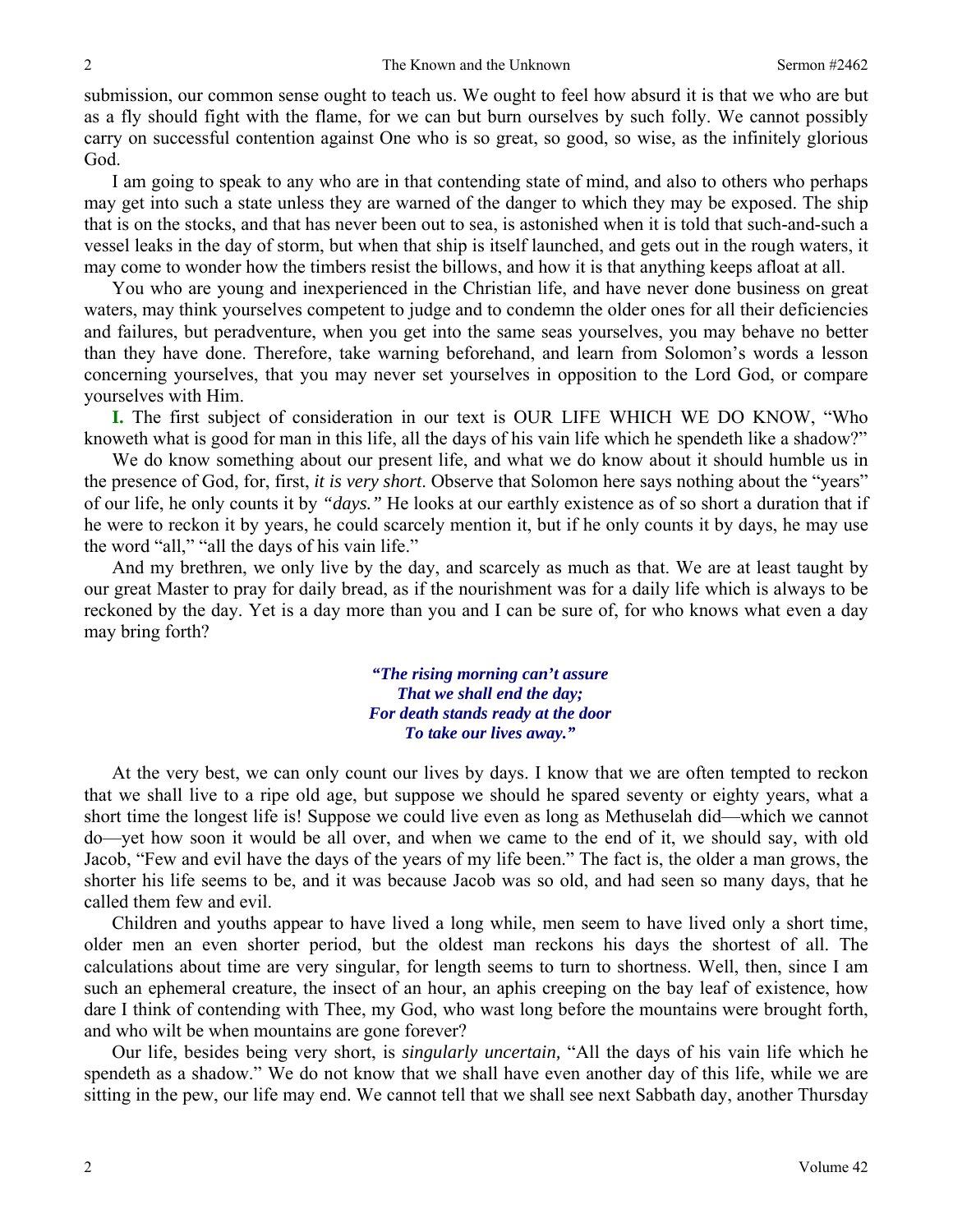submission, our common sense ought to teach us. We ought to feel how absurd it is that we who are but as a fly should fight with the flame, for we can but burn ourselves by such folly. We cannot possibly carry on successful contention against One who is so great, so good, so wise, as the infinitely glorious God.

I am going to speak to any who are in that contending state of mind, and also to others who perhaps may get into such a state unless they are warned of the danger to which they may be exposed. The ship that is on the stocks, and that has never been out to sea, is astonished when it is told that such-and-such a vessel leaks in the day of storm, but when that ship is itself launched, and gets out in the rough waters, it may come to wonder how the timbers resist the billows, and how it is that anything keeps afloat at all.

You who are young and inexperienced in the Christian life, and have never done business on great waters, may think yourselves competent to judge and to condemn the older ones for all their deficiencies and failures, but peradventure, when you get into the same seas yourselves, you may behave no better than they have done. Therefore, take warning beforehand, and learn from Solomon's words a lesson concerning yourselves, that you may never set yourselves in opposition to the Lord God, or compare yourselves with Him.

**I.** The first subject of consideration in our text is OUR LIFE WHICH WE DO KNOW, "Who knoweth what is good for man in this life, all the days of his vain life which he spendeth like a shadow?"

We do know something about our present life, and what we do know about it should humble us in the presence of God, for, first, *it is very short*. Observe that Solomon here says nothing about the "years" of our life, he only counts it by *"days."* He looks at our earthly existence as of so short a duration that if he were to reckon it by years, he could scarcely mention it, but if he only counts it by days, he may use the word "all," "all the days of his vain life."

And my brethren, we only live by the day, and scarcely as much as that. We are at least taught by our great Master to pray for daily bread, as if the nourishment was for a daily life which is always to be reckoned by the day. Yet is a day more than you and I can be sure of, for who knows what even a day may bring forth?

> *"The rising morning can't assure That we shall end the day; For death stands ready at the door To take our lives away."*

At the very best, we can only count our lives by days. I know that we are often tempted to reckon that we shall live to a ripe old age, but suppose we should he spared seventy or eighty years, what a short time the longest life is! Suppose we could live even as long as Methuselah did—which we cannot do—yet how soon it would be all over, and when we came to the end of it, we should say, with old Jacob, "Few and evil have the days of the years of my life been." The fact is, the older a man grows, the shorter his life seems to be, and it was because Jacob was so old, and had seen so many days, that he called them few and evil.

Children and youths appear to have lived a long while, men seem to have lived only a short time, older men an even shorter period, but the oldest man reckons his days the shortest of all. The calculations about time are very singular, for length seems to turn to shortness. Well, then, since I am such an ephemeral creature, the insect of an hour, an aphis creeping on the bay leaf of existence, how dare I think of contending with Thee, my God, who wast long before the mountains were brought forth, and who wilt be when mountains are gone forever?

Our life, besides being very short, is *singularly uncertain,* "All the days of his vain life which he spendeth as a shadow." We do not know that we shall have even another day of this life, while we are sitting in the pew, our life may end. We cannot tell that we shall see next Sabbath day, another Thursday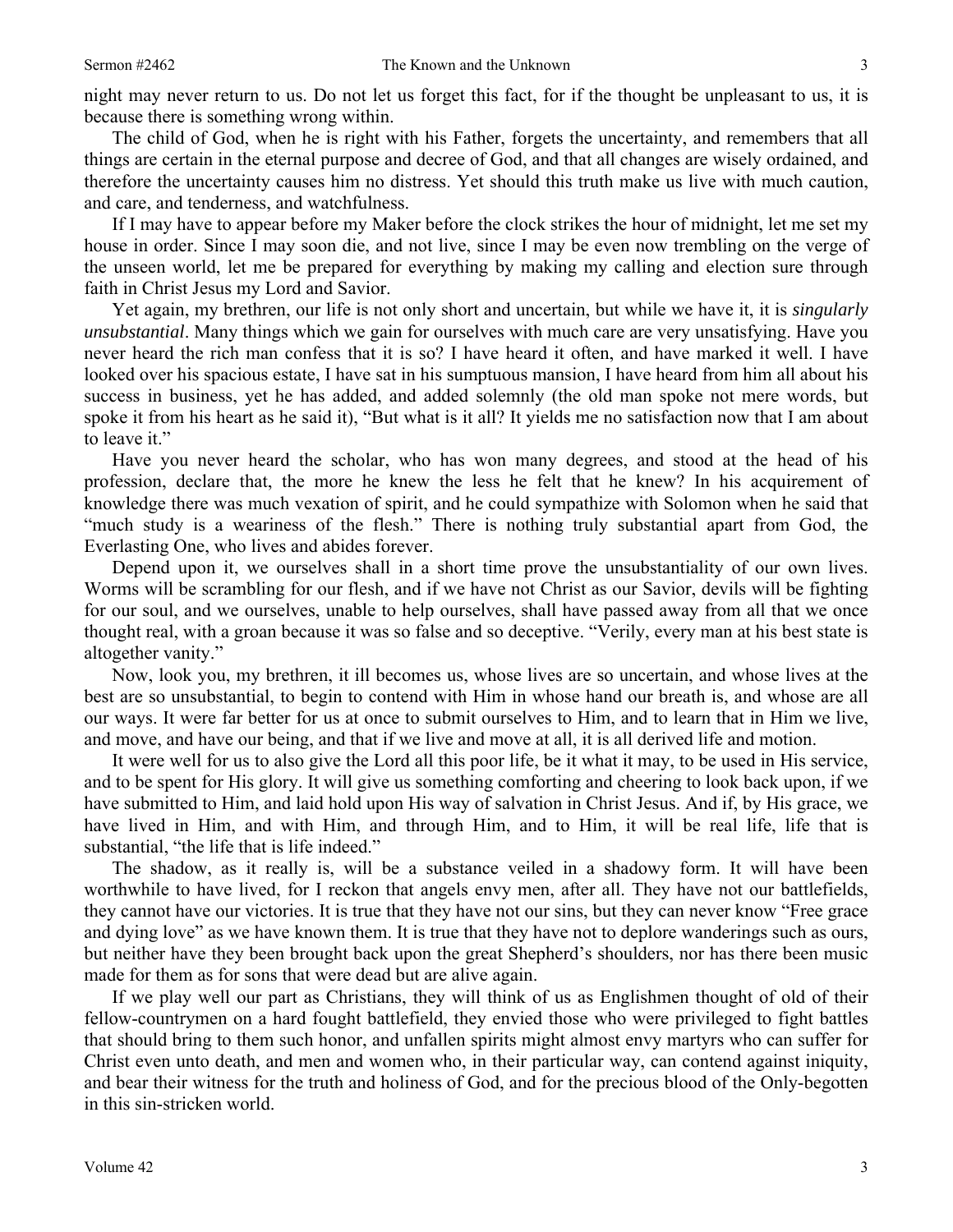night may never return to us. Do not let us forget this fact, for if the thought be unpleasant to us, it is because there is something wrong within.

The child of God, when he is right with his Father, forgets the uncertainty, and remembers that all things are certain in the eternal purpose and decree of God, and that all changes are wisely ordained, and therefore the uncertainty causes him no distress. Yet should this truth make us live with much caution, and care, and tenderness, and watchfulness.

If I may have to appear before my Maker before the clock strikes the hour of midnight, let me set my house in order. Since I may soon die, and not live, since I may be even now trembling on the verge of the unseen world, let me be prepared for everything by making my calling and election sure through faith in Christ Jesus my Lord and Savior.

Yet again, my brethren, our life is not only short and uncertain, but while we have it, it is *singularly unsubstantial*. Many things which we gain for ourselves with much care are very unsatisfying. Have you never heard the rich man confess that it is so? I have heard it often, and have marked it well. I have looked over his spacious estate, I have sat in his sumptuous mansion, I have heard from him all about his success in business, yet he has added, and added solemnly (the old man spoke not mere words, but spoke it from his heart as he said it), "But what is it all? It yields me no satisfaction now that I am about to leave it."

Have you never heard the scholar, who has won many degrees, and stood at the head of his profession, declare that, the more he knew the less he felt that he knew? In his acquirement of knowledge there was much vexation of spirit, and he could sympathize with Solomon when he said that "much study is a weariness of the flesh." There is nothing truly substantial apart from God, the Everlasting One, who lives and abides forever.

Depend upon it, we ourselves shall in a short time prove the unsubstantiality of our own lives. Worms will be scrambling for our flesh, and if we have not Christ as our Savior, devils will be fighting for our soul, and we ourselves, unable to help ourselves, shall have passed away from all that we once thought real, with a groan because it was so false and so deceptive. "Verily, every man at his best state is altogether vanity."

Now, look you, my brethren, it ill becomes us, whose lives are so uncertain, and whose lives at the best are so unsubstantial, to begin to contend with Him in whose hand our breath is, and whose are all our ways. It were far better for us at once to submit ourselves to Him, and to learn that in Him we live, and move, and have our being, and that if we live and move at all, it is all derived life and motion.

It were well for us to also give the Lord all this poor life, be it what it may, to be used in His service, and to be spent for His glory. It will give us something comforting and cheering to look back upon, if we have submitted to Him, and laid hold upon His way of salvation in Christ Jesus. And if, by His grace, we have lived in Him, and with Him, and through Him, and to Him, it will be real life, life that is substantial, "the life that is life indeed."

The shadow, as it really is, will be a substance veiled in a shadowy form. It will have been worthwhile to have lived, for I reckon that angels envy men, after all. They have not our battlefields, they cannot have our victories. It is true that they have not our sins, but they can never know "Free grace and dying love" as we have known them. It is true that they have not to deplore wanderings such as ours, but neither have they been brought back upon the great Shepherd's shoulders, nor has there been music made for them as for sons that were dead but are alive again.

If we play well our part as Christians, they will think of us as Englishmen thought of old of their fellow-countrymen on a hard fought battlefield, they envied those who were privileged to fight battles that should bring to them such honor, and unfallen spirits might almost envy martyrs who can suffer for Christ even unto death, and men and women who, in their particular way, can contend against iniquity, and bear their witness for the truth and holiness of God, and for the precious blood of the Only-begotten in this sin-stricken world.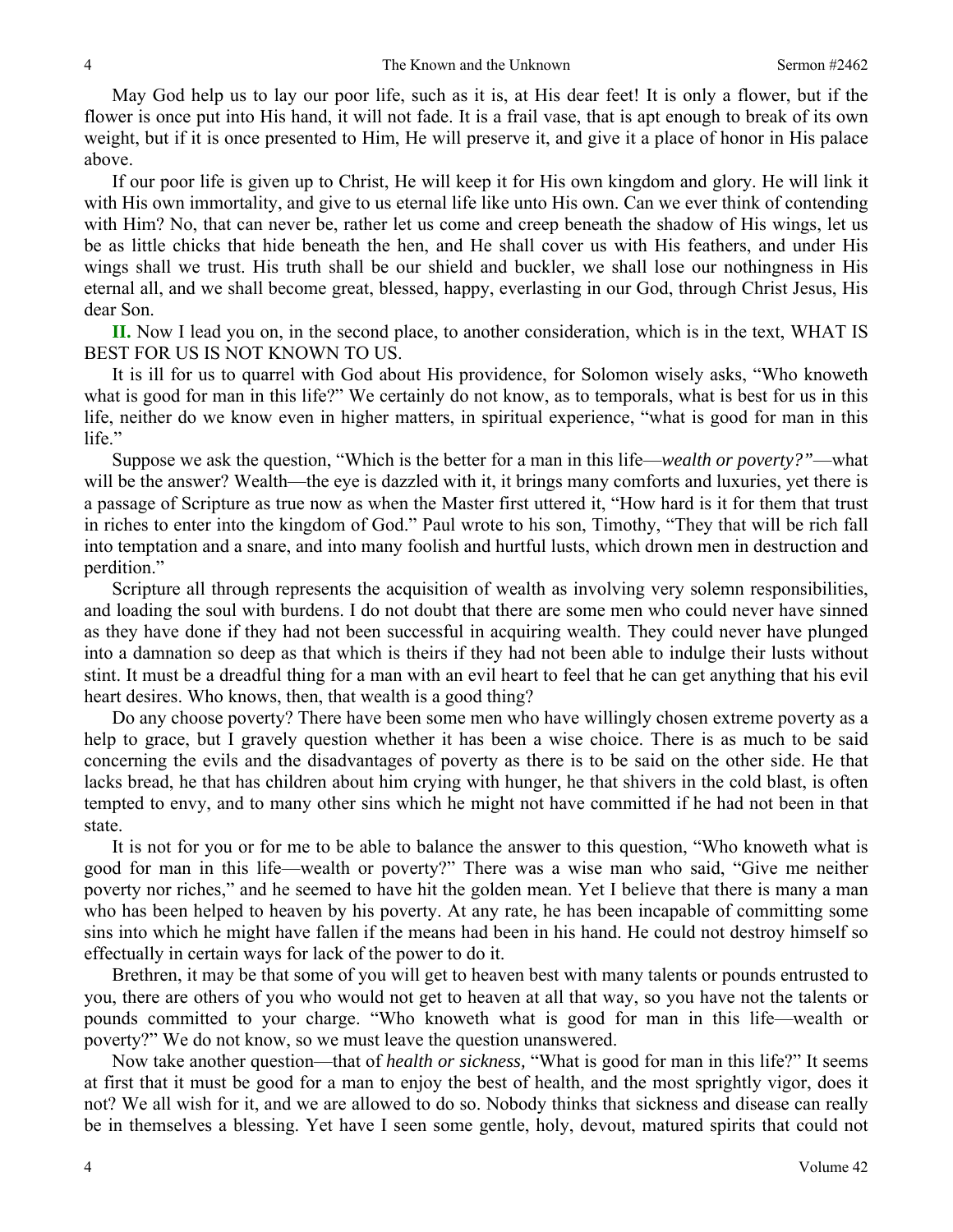May God help us to lay our poor life, such as it is, at His dear feet! It is only a flower, but if the flower is once put into His hand, it will not fade. It is a frail vase, that is apt enough to break of its own weight, but if it is once presented to Him, He will preserve it, and give it a place of honor in His palace above.

If our poor life is given up to Christ, He will keep it for His own kingdom and glory. He will link it with His own immortality, and give to us eternal life like unto His own. Can we ever think of contending with Him? No, that can never be, rather let us come and creep beneath the shadow of His wings, let us be as little chicks that hide beneath the hen, and He shall cover us with His feathers, and under His wings shall we trust. His truth shall be our shield and buckler, we shall lose our nothingness in His eternal all, and we shall become great, blessed, happy, everlasting in our God, through Christ Jesus, His dear Son.

**II.** Now I lead you on, in the second place, to another consideration, which is in the text, WHAT IS BEST FOR US IS NOT KNOWN TO US.

It is ill for us to quarrel with God about His providence, for Solomon wisely asks, "Who knoweth what is good for man in this life?" We certainly do not know, as to temporals, what is best for us in this life, neither do we know even in higher matters, in spiritual experience, "what is good for man in this life."

Suppose we ask the question, "Which is the better for a man in this life—*wealth or poverty?"*—what will be the answer? Wealth—the eye is dazzled with it, it brings many comforts and luxuries, yet there is a passage of Scripture as true now as when the Master first uttered it, "How hard is it for them that trust in riches to enter into the kingdom of God." Paul wrote to his son, Timothy, "They that will be rich fall into temptation and a snare, and into many foolish and hurtful lusts, which drown men in destruction and perdition."

Scripture all through represents the acquisition of wealth as involving very solemn responsibilities, and loading the soul with burdens. I do not doubt that there are some men who could never have sinned as they have done if they had not been successful in acquiring wealth. They could never have plunged into a damnation so deep as that which is theirs if they had not been able to indulge their lusts without stint. It must be a dreadful thing for a man with an evil heart to feel that he can get anything that his evil heart desires. Who knows, then, that wealth is a good thing?

Do any choose poverty? There have been some men who have willingly chosen extreme poverty as a help to grace, but I gravely question whether it has been a wise choice. There is as much to be said concerning the evils and the disadvantages of poverty as there is to be said on the other side. He that lacks bread, he that has children about him crying with hunger, he that shivers in the cold blast, is often tempted to envy, and to many other sins which he might not have committed if he had not been in that state.

It is not for you or for me to be able to balance the answer to this question, "Who knoweth what is good for man in this life—wealth or poverty?" There was a wise man who said, "Give me neither poverty nor riches," and he seemed to have hit the golden mean. Yet I believe that there is many a man who has been helped to heaven by his poverty. At any rate, he has been incapable of committing some sins into which he might have fallen if the means had been in his hand. He could not destroy himself so effectually in certain ways for lack of the power to do it.

Brethren, it may be that some of you will get to heaven best with many talents or pounds entrusted to you, there are others of you who would not get to heaven at all that way, so you have not the talents or pounds committed to your charge. "Who knoweth what is good for man in this life—wealth or poverty?" We do not know, so we must leave the question unanswered.

Now take another question—that of *health or sickness,* "What is good for man in this life?" It seems at first that it must be good for a man to enjoy the best of health, and the most sprightly vigor, does it not? We all wish for it, and we are allowed to do so. Nobody thinks that sickness and disease can really be in themselves a blessing. Yet have I seen some gentle, holy, devout, matured spirits that could not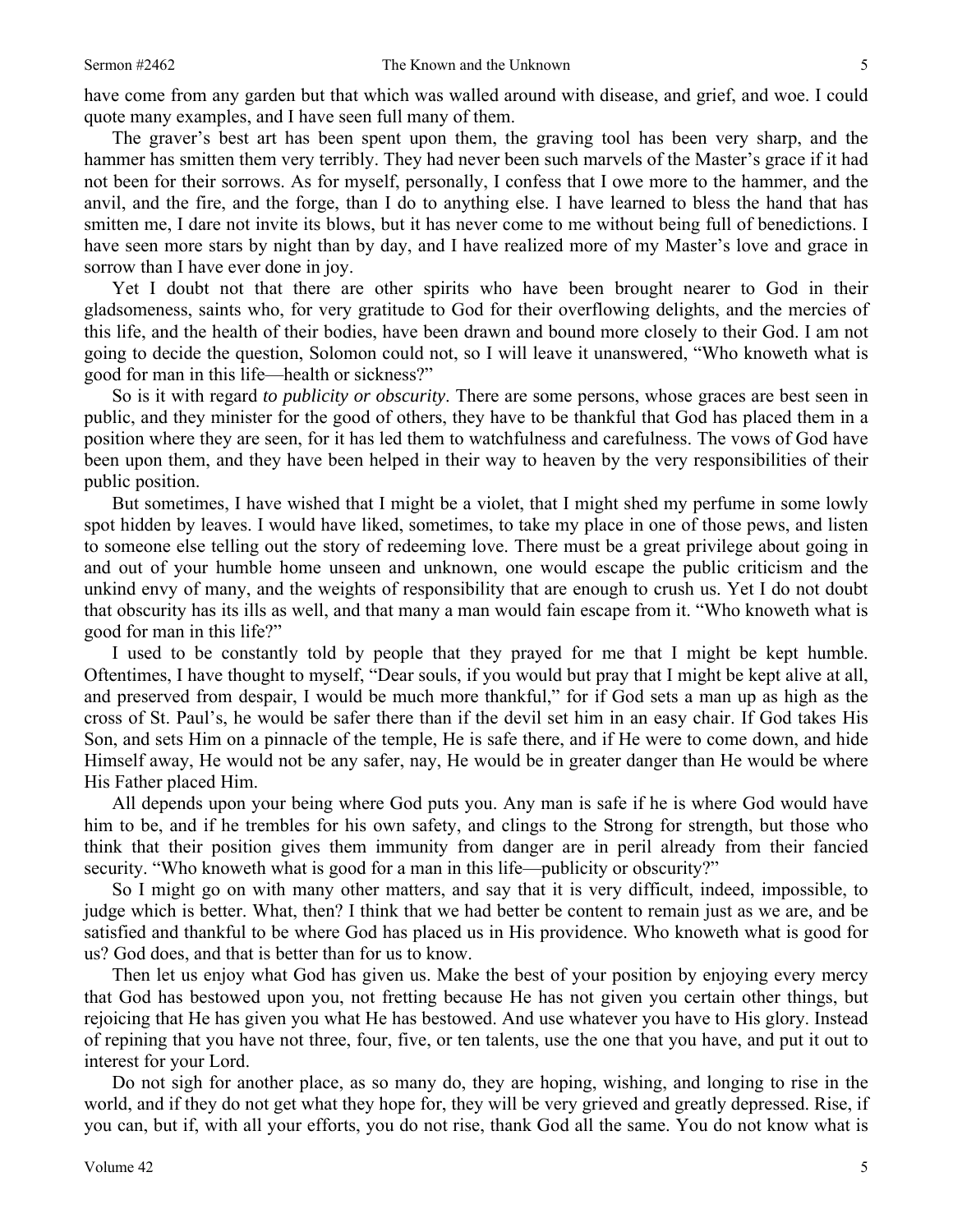quote many examples, and I have seen full many of them.

The graver's best art has been spent upon them, the graving tool has been very sharp, and the hammer has smitten them very terribly. They had never been such marvels of the Master's grace if it had not been for their sorrows. As for myself, personally, I confess that I owe more to the hammer, and the anvil, and the fire, and the forge, than I do to anything else. I have learned to bless the hand that has smitten me, I dare not invite its blows, but it has never come to me without being full of benedictions. I have seen more stars by night than by day, and I have realized more of my Master's love and grace in sorrow than I have ever done in joy.

Yet I doubt not that there are other spirits who have been brought nearer to God in their gladsomeness, saints who, for very gratitude to God for their overflowing delights, and the mercies of this life, and the health of their bodies, have been drawn and bound more closely to their God. I am not going to decide the question, Solomon could not, so I will leave it unanswered, "Who knoweth what is good for man in this life—health or sickness?"

So is it with regard *to publicity or obscurity*. There are some persons, whose graces are best seen in public, and they minister for the good of others, they have to be thankful that God has placed them in a position where they are seen, for it has led them to watchfulness and carefulness. The vows of God have been upon them, and they have been helped in their way to heaven by the very responsibilities of their public position.

But sometimes, I have wished that I might be a violet, that I might shed my perfume in some lowly spot hidden by leaves. I would have liked, sometimes, to take my place in one of those pews, and listen to someone else telling out the story of redeeming love. There must be a great privilege about going in and out of your humble home unseen and unknown, one would escape the public criticism and the unkind envy of many, and the weights of responsibility that are enough to crush us. Yet I do not doubt that obscurity has its ills as well, and that many a man would fain escape from it. "Who knoweth what is good for man in this life?"

I used to be constantly told by people that they prayed for me that I might be kept humble. Oftentimes, I have thought to myself, "Dear souls, if you would but pray that I might be kept alive at all, and preserved from despair, I would be much more thankful," for if God sets a man up as high as the cross of St. Paul's, he would be safer there than if the devil set him in an easy chair. If God takes His Son, and sets Him on a pinnacle of the temple, He is safe there, and if He were to come down, and hide Himself away, He would not be any safer, nay, He would be in greater danger than He would be where His Father placed Him.

All depends upon your being where God puts you. Any man is safe if he is where God would have him to be, and if he trembles for his own safety, and clings to the Strong for strength, but those who think that their position gives them immunity from danger are in peril already from their fancied security. "Who knoweth what is good for a man in this life—publicity or obscurity?"

So I might go on with many other matters, and say that it is very difficult, indeed, impossible, to judge which is better. What, then? I think that we had better be content to remain just as we are, and be satisfied and thankful to be where God has placed us in His providence. Who knoweth what is good for us? God does, and that is better than for us to know.

Then let us enjoy what God has given us. Make the best of your position by enjoying every mercy that God has bestowed upon you, not fretting because He has not given you certain other things, but rejoicing that He has given you what He has bestowed. And use whatever you have to His glory. Instead of repining that you have not three, four, five, or ten talents, use the one that you have, and put it out to interest for your Lord.

Do not sigh for another place, as so many do, they are hoping, wishing, and longing to rise in the world, and if they do not get what they hope for, they will be very grieved and greatly depressed. Rise, if you can, but if, with all your efforts, you do not rise, thank God all the same. You do not know what is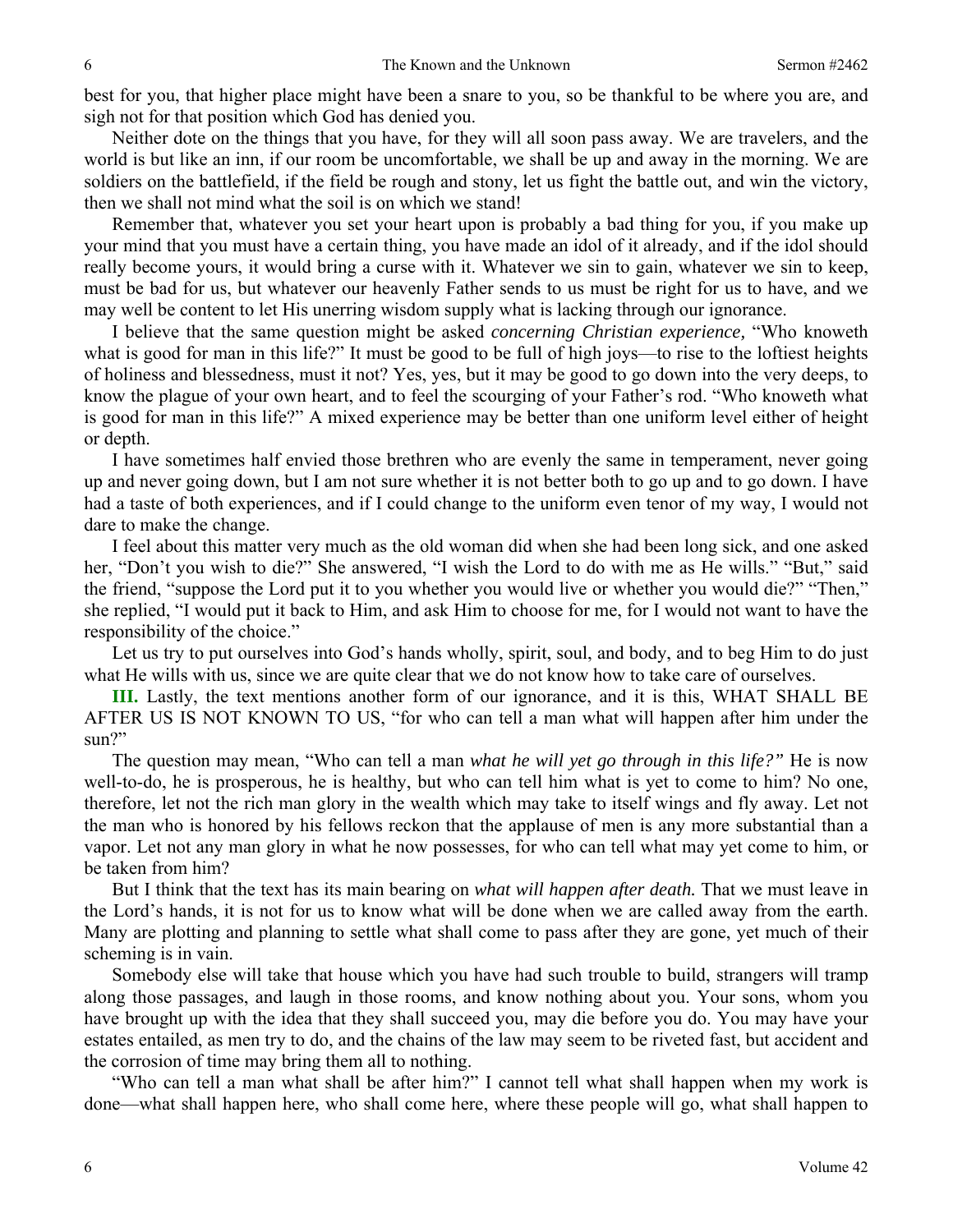best for you, that higher place might have been a snare to you, so be thankful to be where you are, and sigh not for that position which God has denied you.

Neither dote on the things that you have, for they will all soon pass away. We are travelers, and the world is but like an inn, if our room be uncomfortable, we shall be up and away in the morning. We are soldiers on the battlefield, if the field be rough and stony, let us fight the battle out, and win the victory, then we shall not mind what the soil is on which we stand!

Remember that, whatever you set your heart upon is probably a bad thing for you, if you make up your mind that you must have a certain thing, you have made an idol of it already, and if the idol should really become yours, it would bring a curse with it. Whatever we sin to gain, whatever we sin to keep, must be bad for us, but whatever our heavenly Father sends to us must be right for us to have, and we may well be content to let His unerring wisdom supply what is lacking through our ignorance.

I believe that the same question might be asked *concerning Christian experience,* "Who knoweth what is good for man in this life?" It must be good to be full of high joys—to rise to the loftiest heights of holiness and blessedness, must it not? Yes, yes, but it may be good to go down into the very deeps, to know the plague of your own heart, and to feel the scourging of your Father's rod. "Who knoweth what is good for man in this life?" A mixed experience may be better than one uniform level either of height or depth.

I have sometimes half envied those brethren who are evenly the same in temperament, never going up and never going down, but I am not sure whether it is not better both to go up and to go down. I have had a taste of both experiences, and if I could change to the uniform even tenor of my way, I would not dare to make the change.

I feel about this matter very much as the old woman did when she had been long sick, and one asked her, "Don't you wish to die?" She answered, "I wish the Lord to do with me as He wills." "But," said the friend, "suppose the Lord put it to you whether you would live or whether you would die?" "Then," she replied, "I would put it back to Him, and ask Him to choose for me, for I would not want to have the responsibility of the choice."

Let us try to put ourselves into God's hands wholly, spirit, soul, and body, and to beg Him to do just what He wills with us, since we are quite clear that we do not know how to take care of ourselves.

**III.** Lastly, the text mentions another form of our ignorance, and it is this, WHAT SHALL BE AFTER US IS NOT KNOWN TO US, "for who can tell a man what will happen after him under the sun?"

The question may mean, "Who can tell a man *what he will yet go through in this life?"* He is now well-to-do, he is prosperous, he is healthy, but who can tell him what is yet to come to him? No one, therefore, let not the rich man glory in the wealth which may take to itself wings and fly away. Let not the man who is honored by his fellows reckon that the applause of men is any more substantial than a vapor. Let not any man glory in what he now possesses, for who can tell what may yet come to him, or be taken from him?

But I think that the text has its main bearing on *what will happen after death.* That we must leave in the Lord's hands, it is not for us to know what will be done when we are called away from the earth. Many are plotting and planning to settle what shall come to pass after they are gone, yet much of their scheming is in vain.

Somebody else will take that house which you have had such trouble to build, strangers will tramp along those passages, and laugh in those rooms, and know nothing about you. Your sons, whom you have brought up with the idea that they shall succeed you, may die before you do. You may have your estates entailed, as men try to do, and the chains of the law may seem to be riveted fast, but accident and the corrosion of time may bring them all to nothing.

"Who can tell a man what shall be after him?" I cannot tell what shall happen when my work is done—what shall happen here, who shall come here, where these people will go, what shall happen to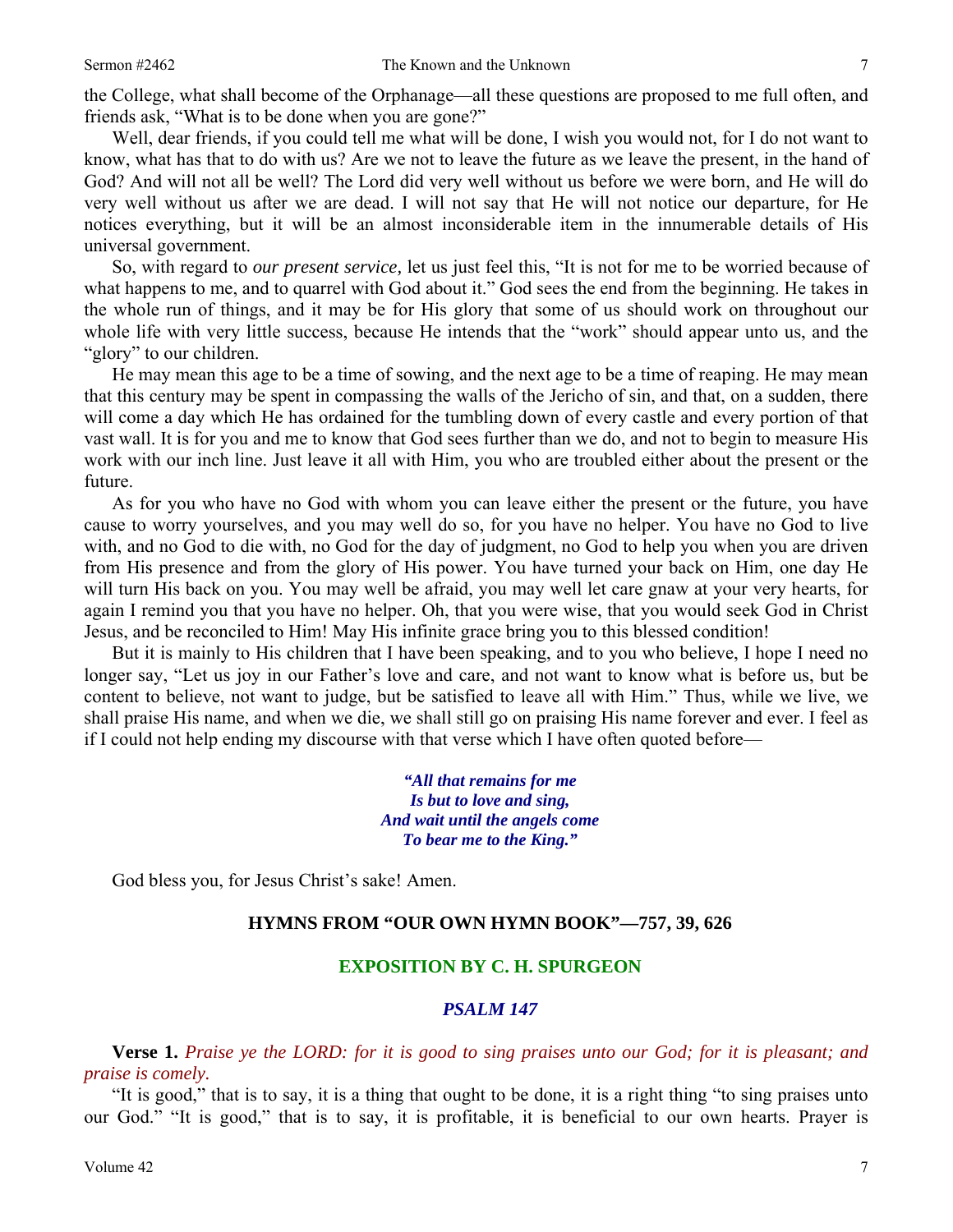the College, what shall become of the Orphanage—all these questions are proposed to me full often, and friends ask, "What is to be done when you are gone?"

Well, dear friends, if you could tell me what will be done, I wish you would not, for I do not want to know, what has that to do with us? Are we not to leave the future as we leave the present, in the hand of God? And will not all be well? The Lord did very well without us before we were born, and He will do very well without us after we are dead. I will not say that He will not notice our departure, for He notices everything, but it will be an almost inconsiderable item in the innumerable details of His universal government.

So, with regard to *our present service,* let us just feel this, "It is not for me to be worried because of what happens to me, and to quarrel with God about it." God sees the end from the beginning. He takes in the whole run of things, and it may be for His glory that some of us should work on throughout our whole life with very little success, because He intends that the "work" should appear unto us, and the "glory" to our children.

He may mean this age to be a time of sowing, and the next age to be a time of reaping. He may mean that this century may be spent in compassing the walls of the Jericho of sin, and that, on a sudden, there will come a day which He has ordained for the tumbling down of every castle and every portion of that vast wall. It is for you and me to know that God sees further than we do, and not to begin to measure His work with our inch line. Just leave it all with Him, you who are troubled either about the present or the future.

As for you who have no God with whom you can leave either the present or the future, you have cause to worry yourselves, and you may well do so, for you have no helper. You have no God to live with, and no God to die with, no God for the day of judgment, no God to help you when you are driven from His presence and from the glory of His power. You have turned your back on Him, one day He will turn His back on you. You may well be afraid, you may well let care gnaw at your very hearts, for again I remind you that you have no helper. Oh, that you were wise, that you would seek God in Christ Jesus, and be reconciled to Him! May His infinite grace bring you to this blessed condition!

But it is mainly to His children that I have been speaking, and to you who believe, I hope I need no longer say, "Let us joy in our Father's love and care, and not want to know what is before us, but be content to believe, not want to judge, but be satisfied to leave all with Him." Thus, while we live, we shall praise His name, and when we die, we shall still go on praising His name forever and ever. I feel as if I could not help ending my discourse with that verse which I have often quoted before—

> *"All that remains for me Is but to love and sing, And wait until the angels come To bear me to the King."*

God bless you, for Jesus Christ's sake! Amen.

#### **HYMNS FROM "OUR OWN HYMN BOOK"—757, 39, 626**

#### **EXPOSITION BY C. H. SPURGEON**

#### *PSALM 147*

**Verse 1.** *Praise ye the LORD: for it is good to sing praises unto our God; for it is pleasant; and praise is comely.*

"It is good," that is to say, it is a thing that ought to be done, it is a right thing "to sing praises unto our God." "It is good," that is to say, it is profitable, it is beneficial to our own hearts. Prayer is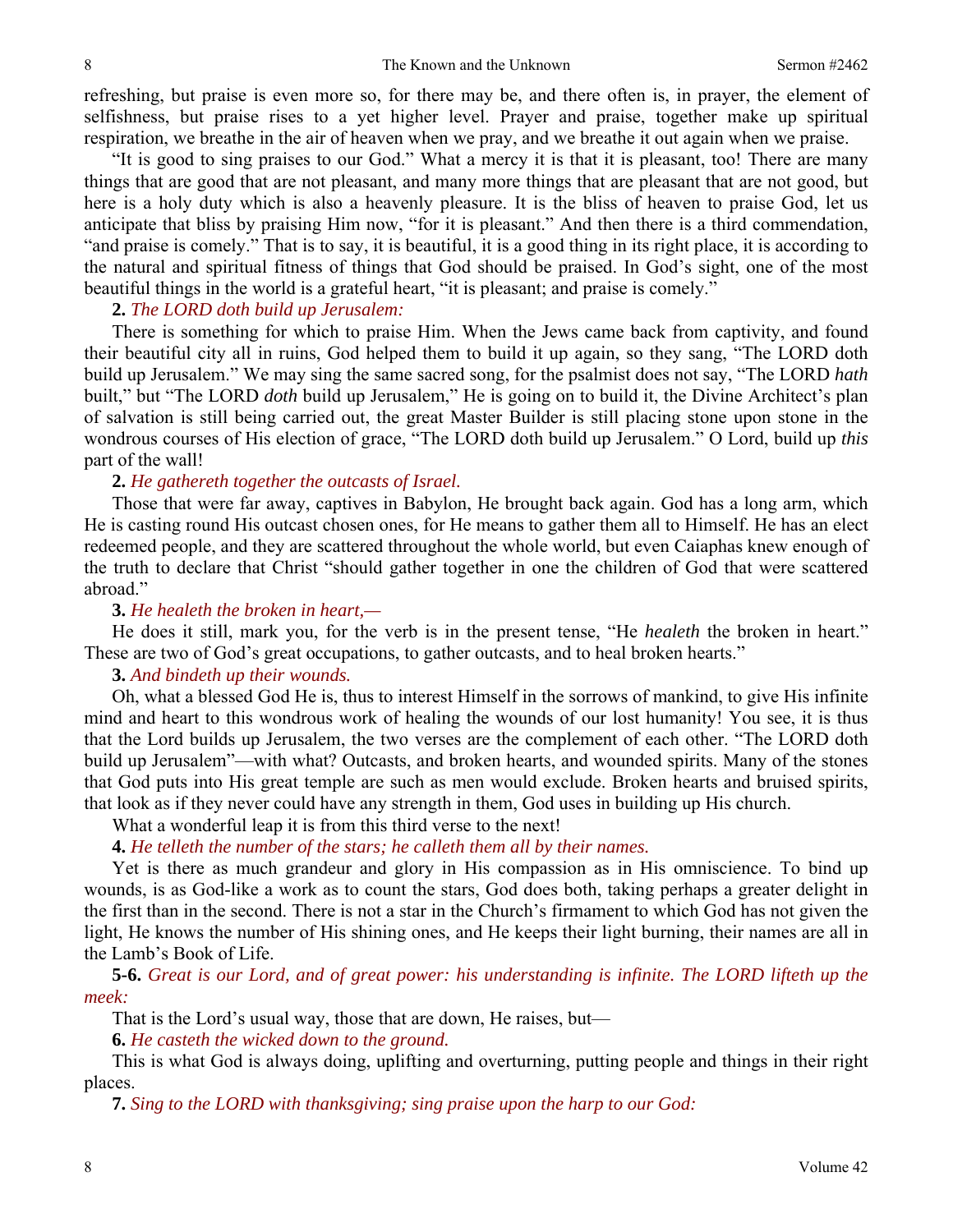refreshing, but praise is even more so, for there may be, and there often is, in prayer, the element of selfishness, but praise rises to a yet higher level. Prayer and praise, together make up spiritual respiration, we breathe in the air of heaven when we pray, and we breathe it out again when we praise.

"It is good to sing praises to our God." What a mercy it is that it is pleasant, too! There are many things that are good that are not pleasant, and many more things that are pleasant that are not good, but here is a holy duty which is also a heavenly pleasure. It is the bliss of heaven to praise God, let us anticipate that bliss by praising Him now, "for it is pleasant." And then there is a third commendation, "and praise is comely." That is to say, it is beautiful, it is a good thing in its right place, it is according to the natural and spiritual fitness of things that God should be praised. In God's sight, one of the most beautiful things in the world is a grateful heart, "it is pleasant; and praise is comely."

# **2.** *The LORD doth build up Jerusalem:*

There is something for which to praise Him. When the Jews came back from captivity, and found their beautiful city all in ruins, God helped them to build it up again, so they sang, "The LORD doth build up Jerusalem." We may sing the same sacred song, for the psalmist does not say, "The LORD *hath* built," but "The LORD *doth* build up Jerusalem," He is going on to build it, the Divine Architect's plan of salvation is still being carried out, the great Master Builder is still placing stone upon stone in the wondrous courses of His election of grace, "The LORD doth build up Jerusalem." O Lord, build up *this* part of the wall!

# **2.** *He gathereth together the outcasts of Israel.*

Those that were far away, captives in Babylon, He brought back again. God has a long arm, which He is casting round His outcast chosen ones, for He means to gather them all to Himself. He has an elect redeemed people, and they are scattered throughout the whole world, but even Caiaphas knew enough of the truth to declare that Christ "should gather together in one the children of God that were scattered abroad."

# **3.** *He healeth the broken in heart,—*

He does it still, mark you, for the verb is in the present tense, "He *healeth* the broken in heart." These are two of God's great occupations, to gather outcasts, and to heal broken hearts."

# **3.** *And bindeth up their wounds.*

Oh, what a blessed God He is, thus to interest Himself in the sorrows of mankind, to give His infinite mind and heart to this wondrous work of healing the wounds of our lost humanity! You see, it is thus that the Lord builds up Jerusalem, the two verses are the complement of each other. "The LORD doth build up Jerusalem"—with what? Outcasts, and broken hearts, and wounded spirits. Many of the stones that God puts into His great temple are such as men would exclude. Broken hearts and bruised spirits, that look as if they never could have any strength in them, God uses in building up His church.

What a wonderful leap it is from this third verse to the next!

**4.** *He telleth the number of the stars; he calleth them all by their names.*

Yet is there as much grandeur and glory in His compassion as in His omniscience. To bind up wounds, is as God-like a work as to count the stars, God does both, taking perhaps a greater delight in the first than in the second. There is not a star in the Church's firmament to which God has not given the light, He knows the number of His shining ones, and He keeps their light burning, their names are all in the Lamb's Book of Life.

**5-6.** *Great is our Lord, and of great power: his understanding is infinite. The LORD lifteth up the meek:*

That is the Lord's usual way, those that are down, He raises, but—

**6.** *He casteth the wicked down to the ground.*

This is what God is always doing, uplifting and overturning, putting people and things in their right places.

**7.** *Sing to the LORD with thanksgiving; sing praise upon the harp to our God:*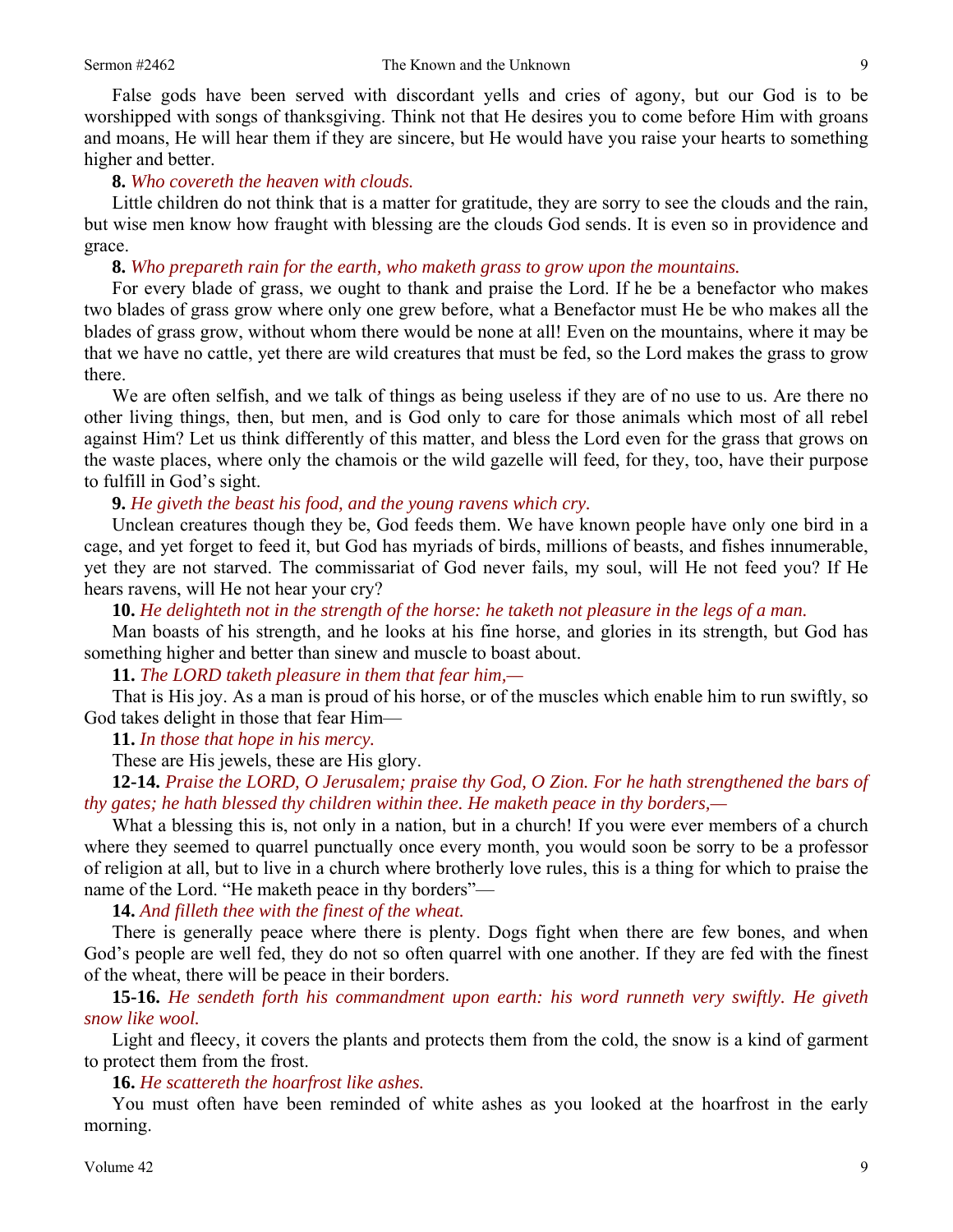False gods have been served with discordant yells and cries of agony, but our God is to be worshipped with songs of thanksgiving. Think not that He desires you to come before Him with groans and moans, He will hear them if they are sincere, but He would have you raise your hearts to something higher and better.

#### **8.** *Who covereth the heaven with clouds.*

Little children do not think that is a matter for gratitude, they are sorry to see the clouds and the rain, but wise men know how fraught with blessing are the clouds God sends. It is even so in providence and grace.

**8.** *Who prepareth rain for the earth, who maketh grass to grow upon the mountains.*

For every blade of grass, we ought to thank and praise the Lord. If he be a benefactor who makes two blades of grass grow where only one grew before, what a Benefactor must He be who makes all the blades of grass grow, without whom there would be none at all! Even on the mountains, where it may be that we have no cattle, yet there are wild creatures that must be fed, so the Lord makes the grass to grow there.

We are often selfish, and we talk of things as being useless if they are of no use to us. Are there no other living things, then, but men, and is God only to care for those animals which most of all rebel against Him? Let us think differently of this matter, and bless the Lord even for the grass that grows on the waste places, where only the chamois or the wild gazelle will feed, for they, too, have their purpose to fulfill in God's sight.

#### **9.** *He giveth the beast his food, and the young ravens which cry.*

Unclean creatures though they be, God feeds them. We have known people have only one bird in a cage, and yet forget to feed it, but God has myriads of birds, millions of beasts, and fishes innumerable, yet they are not starved. The commissariat of God never fails, my soul, will He not feed you? If He hears ravens, will He not hear your cry?

**10.** *He delighteth not in the strength of the horse: he taketh not pleasure in the legs of a man.*

Man boasts of his strength, and he looks at his fine horse, and glories in its strength, but God has something higher and better than sinew and muscle to boast about.

**11.** *The LORD taketh pleasure in them that fear him,—*

That is His joy. As a man is proud of his horse, or of the muscles which enable him to run swiftly, so God takes delight in those that fear Him—

**11.** *In those that hope in his mercy.*

These are His jewels, these are His glory.

**12-14.** *Praise the LORD, O Jerusalem; praise thy God, O Zion. For he hath strengthened the bars of thy gates; he hath blessed thy children within thee. He maketh peace in thy borders,—*

What a blessing this is, not only in a nation, but in a church! If you were ever members of a church where they seemed to quarrel punctually once every month, you would soon be sorry to be a professor of religion at all, but to live in a church where brotherly love rules, this is a thing for which to praise the name of the Lord. "He maketh peace in thy borders"—

**14.** *And filleth thee with the finest of the wheat.*

There is generally peace where there is plenty. Dogs fight when there are few bones, and when God's people are well fed, they do not so often quarrel with one another. If they are fed with the finest of the wheat, there will be peace in their borders.

**15-16.** *He sendeth forth his commandment upon earth: his word runneth very swiftly. He giveth snow like wool.*

Light and fleecy, it covers the plants and protects them from the cold, the snow is a kind of garment to protect them from the frost.

**16.** *He scattereth the hoarfrost like ashes.*

You must often have been reminded of white ashes as you looked at the hoarfrost in the early morning.